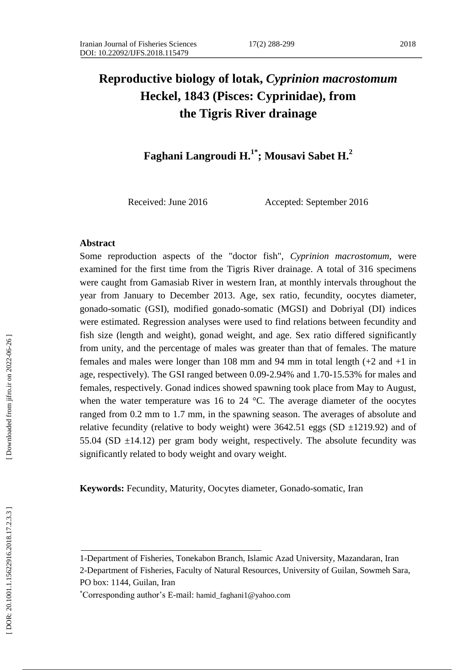# **Reproductive biology of lotak,** *Cyprinion macrostomum* **Heckel, 1843 (Pisces: Cyprinidae), from the Tigris River drainage**

**Faghani Langroudi H. 1 \* ; Mousavi Sabet H. 2**

Received: June 2016 Accepted: September 2016

#### **Abstract**

Some reproduction aspects of the "doctor fish", *Cyprinion macrostomum*, were examined for the first time from the Tigris River drainage. A total of 316 specimens were caught from Gamasiab River in western Iran, at monthly intervals throughout the year from January to December 2013. Age, sex ratio, fecundity, oocytes diameter, gonado -somatic (GSI), modified gonado -somatic (MGSI) and Dobriyal (DI) indices were estimated. Regression analyses were used to find relations between fecundity and fish size (length and weight), gonad weight, and age. Sex ratio differed significantly from unity, and the percentage of males was greater than that of females. The mature females and males were longer than 108 mm and 94 mm in total length (+2 and +1 in age, respectively). The GSI ranged between 0.09 -2.94% and 1.70 -15.53% for males and females, respectively. Gonad indices showed spawning took place from May to August, when the water temperature was 16 to 24 °C. The average diameter of the oocytes ranged from 0.2 mm to 1.7 mm, in the spawning season. The averages of absolute and relative fecundity (relative to body weight) were  $3642.51$  eggs (SD  $\pm$ 1219.92) and of 55.04 (SD  $\pm$ 14.12) per gram body weight, respectively. The absolute fecundity was significantly related to body weight and ovary weight.

Keywords: Fecundity, Maturity, Oocytes diameter, Gonado-somatic, Iran

<sup>1</sup> -Department of Fisheries, Tonekabon Branch, Islamic Azad University, Mazandaran, Iran

<sup>2</sup> -Department of Fisheries, Faculty of Natural Resources, University of Guilan, Sowmeh Sara, PO box: 1144, Guilan, Iran

Corresponding author's E-mail: hamid\_faghani1@yahoo.com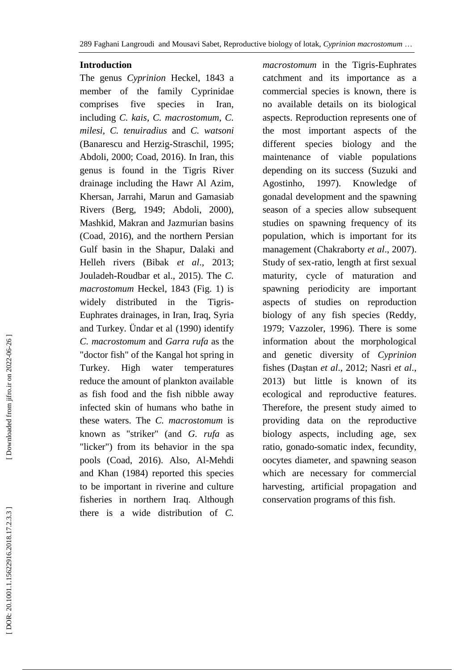289 Faghani Langroudi and Mousavi Sabet, Reproductive biology of lotak, *Cyprinion macrostomum* …

## **Introduction**

The genus *Cyprinion* Heckel, 1843 a member of the family Cyprinidae comprises five species in Iran, including *C. kais*, *C. macrostomum*, *C. milesi*, *C. tenuiradius* and *C. watsoni* (Banarescu and Herzig -Straschil, 1995; Abdoli, 2000; Coad, 2016). In Iran, this genus is found in the Tigris River drainage including the Hawr Al Azim, Khersan, Jarrahi, Marun and Gamasiab Rivers (Berg, 1949; Abdoli, 2000), Mashkid, Makran and Jazmurian basins (Coad, 2016), and the northern Persian Gulf basin in the Shapur, Dalaki and Helleh rivers (Bibak *et al*., 2013; Jouladeh -Roudbar et al., 2015). The *C . macrostomum* Heckel, 1843 (Fig. 1) is widely distributed in the Tigris-Euphrates drainages, in Iran, Iraq, Syria and Turkey. Ündar et al (1990) identify *C. macrostomum* and *Garra rufa* as the "doctor fish" of the Kangal hot spring in Turkey. High water temperatures reduce the amount of plankton available as fish food and the fish nibble away infected skin of humans who bathe in these waters. The *C. macrostomum* is known as "striker" (and *G. rufa* as "licker") from its behavior in the spa pools (Coad, 2016). Also, Al -Mehdi and Khan (1984) reported this species to be important in riverine and culture fisheries in northern Iraq. Although there is a wide distribution of *C.* 

*macrostomum* in the Tigris -Euphrates catchment and its importance as a commercial species is known, there is no available details on its biological aspects. Reproduction represents one of the most important aspects of the different species biology and the maintenance of viable populations depending on its success (Suzuki and Agostinho, 1997). Knowledge of gonadal development and the spawning season of a species allow subsequent studies on spawning frequency of its population, which is important for its management (Chakraborty *et al*., 2007). Study of sex -ratio, length at first sexual maturity, cycle of maturation and spawning periodicity are important aspects of studies on reproduction biology of any fish species (Reddy, 1979; Vazzoler, 1996). There is some information about the morphological and genetic diversity of *Cyprinion* fishes (Daştan *et al*., 2012; Nasri *et al*., 2013) but little is known of its ecological and reproductive features. Therefore, the present study aimed to providing data on the reproductive biology aspects, including age, sex ratio, gonado -somatic index, fecundity, oocytes diameter, and spawning season which are necessary for commercial harvesting, artificial propagation and conservation programs of this fish.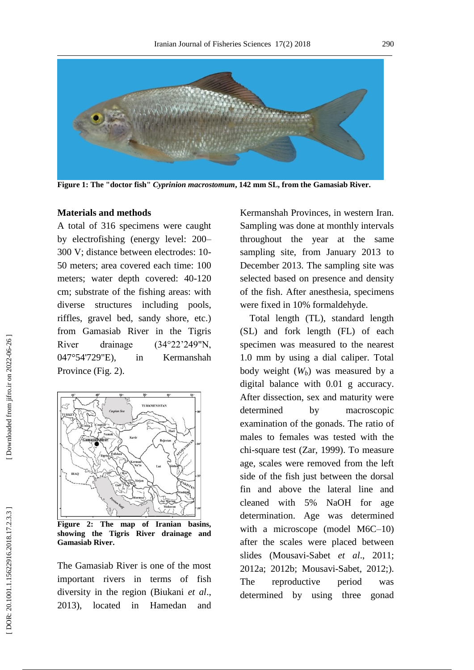

**Figure 1 : The "doctor fish"** *Cyprinion macrostomum***, 142 mm SL, from the Gamasiab River .**

#### **Materials and methods**

A total of 316 specimens were caught by electrofishing (energy level: 200 – 300 V; distance between electrodes: 10 - 50 meters; area covered each time: 100 meters; water depth covered: 40 -120 cm; substrate of the fishing areas: with diverse structures including pools, riffles, gravel bed, sandy shore, etc.) from Gamasiab River in the Tigris River drainage (34°22'249"N, 047°54'729"E), in Kermanshah Province (Fig. 2).



**Figure 2: The map of Iranian basins, showing the Tigris River drainage and Gamasiab River .**

The Gamasiab River is one of the most important rivers in terms of fish diversity in the region (Biukani *et al*., 2013), located in Hamedan and Kermanshah Provinces, in western Iran. Sampling was done at monthly intervals throughout the year at the same sampling site, from January 2013 to December 2013. The sampling site was selected based on presence and density of the fish. After anesthesia, specimens were fixed in 10% formaldehyde.

 Total length (TL), standard length (SL) and fork length (FL) of each specimen was measured to the nearest 1.0 mm by using a dial caliper. Total body weight ( *Wb*) was measured by a digital balance with 0.01 g accuracy. After dissection, sex and maturity were determined by macroscopic examination of the gonads. The ratio of males to females was tested with the chi -square test (Zar, 1999). To measure age, scales were removed from the left side of the fish just between the dorsal fin and above the lateral line and cleaned with 5% NaOH for age determination. Age was determined with a microscope (model M6C-10) after the scales were placed between slides (Mousavi -Sabet *et al*., 2011; 2012a; 2012b; Mousavi -Sabet, 2012;). The reproductive period was determined by using three gonad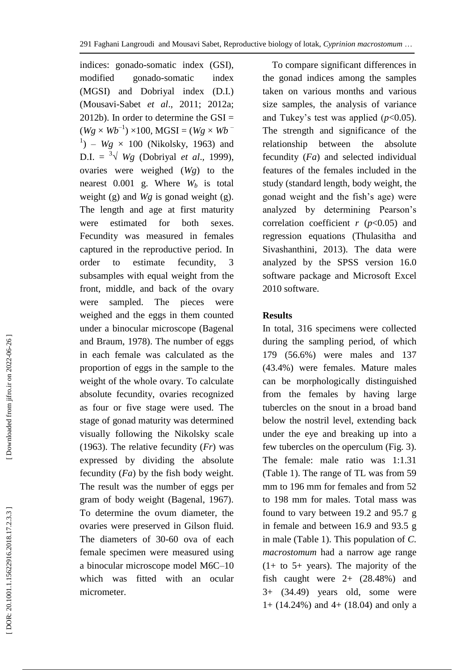indices: gonado -somatic index (GSI), modified gonado-somatic index (MGSI) and Dobriyal index (D.I.) (Mousavi -Sabet *et al*., 2011; 2012a; 2012b). In order to determine the GSI =  $(Wg \times Wb^{-1}) \times 100$ , MGSI =  $(Wg \times Wb^{-1})$  $^{1})$  –  $Wg \times 100$  (Nikolsky, 1963) and  $D.I. = \sqrt[3]{Wg}$  (Dobriyal *et al.*, 1999), ovaries were weighed (*Wg*) to the nearest 0.001 g. Where *W<sup>b</sup>* is total weight (g) and *Wg* is gonad weight (g). The length and age at first maturity were estimated for both sexes. Fecundity was measured in females captured in the reproductive period. In order to estimate fecundity, 3 subsamples with equal weight from the front, middle, and back of the ovary were sampled. The pieces were weighed and the eggs in them counted under a binocular microscope (Bagenal and Braum, 1978). The number of eggs in each female was calculated as the proportion of eggs in the sample to the weight of the whole ovary. To calculate absolute fecundity, ovaries recognized as four or five stage were used. The stage of gonad maturity was determined visually following the Nikolsky scale (1963). The relative fecundity (*Fr*) was expressed by dividing the absolute fecundity (*Fa*) by the fish body weight. The result was the number of eggs per gram of body weight (Bagenal, 1967). To determine the ovum diameter, the ovaries were preserved in Gilson fluid. The diameters of 30 -60 ova of each female specimen were measured using a binocular microscope model M6C –10 which was fitted with an ocular micrometer.

 To compare significant differences in the gonad indices among the samples taken on various months and various size samples, the analysis of variance and Tukey's test was applied  $(p<0.05)$ . The strength and significance of the relationship between the absolute fecundity (*Fa*) and selected individual features of the females included in the study (standard length, body weight, the gonad weight and the fish's age) were analyzed by determining Pearson's correlation coefficient  $r$  ( $p$ <0.05) and regression equations (Thulasitha and Sivashanthini , 2013). The data were analyzed by the SPSS version 16.0 software package and Microsoft Excel 2010 software.

# **Results**

In total, 316 specimens were collected during the sampling period, of which 179 (56.6%) were males and 137 (43.4%) were females. Mature males can be morphologically distinguished from the females by having large tubercles on the snout in a broad band below the nostril level, extending back under the eye and breaking up into a few tubercles on the operculum (Fig. 3). The female: male ratio was 1:1.31 (Table 1). The range of TL was from 59 mm to 196 mm for females and from 52 to 198 mm for males. Total mass was found to vary between 19.2 and 95.7 g in female and between 16.9 and 93.5 g in male (Table 1). This population of *C . macrostomum* had a narrow age range  $(1+$  to 5+ years). The majority of the fish caught were  $2+$   $(28.48\%)$  and 3+ (34.49) years old, some were 1+ (14.24%) and 4+ (18.04) and only a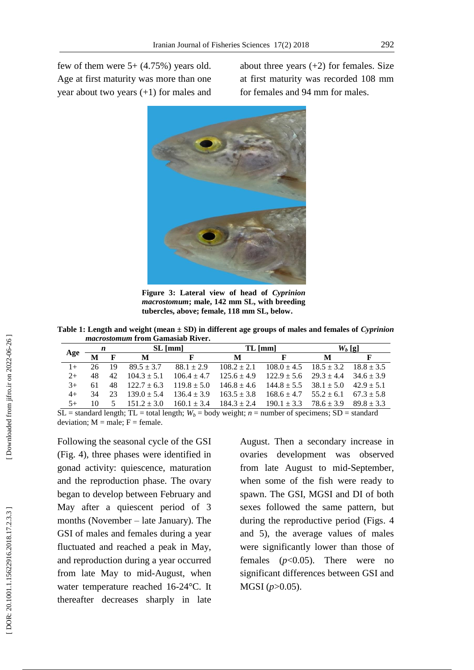few of them were  $5+ (4.75%)$  years old. Age at first maturity was more than one year about two years (+1) for males and about three years  $(+2)$  for females. Size at first maturity was recorded 108 mm for females and 94 mm for males.



**Figure 3 : Lateral view of head of** *Cyprinion macrostomum***; male, 142 mm SL, with breeding tubercles, above; female, 118 mm SL, below .**

**Table 1 : Length and weight (mean ± SD) in different age groups of males and females of** *Cyprinion macrostomum* **from Gamasiab River .**

|      |               |                 | <i>havel obfollomi</i> it vill walliablab ist tvi i                                             |                 |                 |                                                               |                               |              |
|------|---------------|-----------------|-------------------------------------------------------------------------------------------------|-----------------|-----------------|---------------------------------------------------------------|-------------------------------|--------------|
|      | $\frac{n}{2}$ |                 | $SL$ [mm]                                                                                       |                 | $TL$ [mm]       |                                                               | $W_h$ [g]                     |              |
| Age  |               | $M$ F           | M                                                                                               | F               | М               | F                                                             | М                             |              |
| $1+$ | 26            | 19              | $89.5 + 3.7$                                                                                    | $88.1 + 2.9$    |                 | $108.2 \pm 2.1$ $108.0 \pm 4.5$ $18.5 \pm 3.2$ $18.8 \pm 3.5$ |                               |              |
| $2+$ | 48            | 42 <sub>1</sub> | $104.3 + 5.1$                                                                                   | $106.4 + 4.7$   | $125.6 + 4.9$   | $122.9 \pm 5.6$ $29.3 \pm 4.4$                                |                               | $34.6 + 3.9$ |
| $3+$ | 61            | 48              | $122.7 \pm 6.3$                                                                                 | $119.8 \pm 5.0$ | $146.8 \pm 4.6$ | $144.8 \pm 5.5$ $38.1 \pm 5.0$                                |                               | $42.9 + 5.1$ |
| $4+$ | 34            | 23              | $139.0 + 5.4$                                                                                   | $136.4 \pm 3.9$ | $163.5 + 3.8$   | $168.6 \pm 4.7$                                               | $55.2 + 6.1$ $67.3 + 5.8$     |              |
| $5+$ | 10            | 5               | $151.2 \pm 3.0$                                                                                 | $160.1 \pm 3.4$ | $184.3 \pm 2.4$ | $190.1 \pm 3.3$                                               | $78.6 \pm 3.9$ $89.8 \pm 3.3$ |              |
|      |               |                 | $\mathbf{I}$ , 1 11 d and , 11 d and , 1 ii d and , 1 ii d and , 1 ii d and , 1 ii d and , 1 ii |                 |                 |                                                               |                               |              |

 $SL =$  standard length;  $TL =$  total length;  $W_b =$  body weight;  $n =$  number of specimens;  $SD =$  standard deviation;  $M = male$ ;  $F = female$ .

Following the seasonal cycle of the GSI (Fig. 4), three phases were identified in gonad activity: quiescence, maturation and the reproduction phase. The ovary began to develop between February and May after a quiescent period of 3 months (November – late January). The GSI of males and females during a year fluctuated and reached a peak in May, and reproduction during a year occurred from late May to mid -August, when water temperature reached 16-24 °C. It thereafter decreases sharply in late

August. Then a secondary increase in ovaries development was observed from late August to mid -September, when some of the fish were ready to spawn. The GSI, MGSI and DI of both sexes followed the same pattern, but during the reproductive period (Figs . 4 and 5), the average values of males were significantly lower than those of females (*p*<0.05). There were no significant differences between GSI and MGSI (*p*>0.05).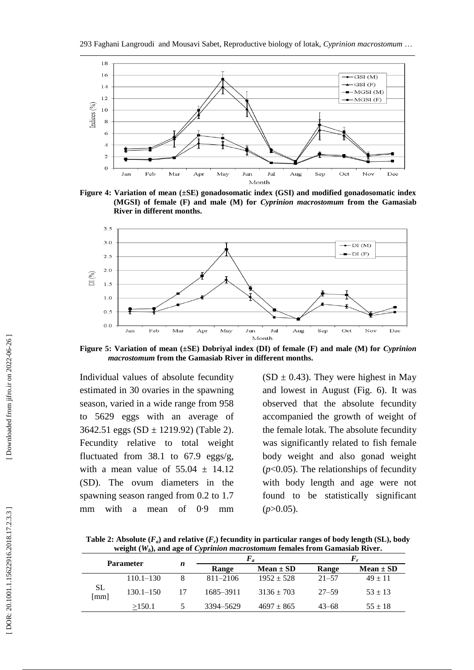

**Figure 4 : Variation of mean (±SE) gonadosomatic index (GSI) and modified gonadosomatic index (MGSI) of female (F) and male (M) for** *Cyprinion macrostomum* **from the Gamasiab River in different months .**



**Figure 5 : Variation of mean (±SE) Dobriyal index (DI) of female (F) and male (M) for** *Cyprinion macrostomum* **from the Gamasiab River in different months .**

Individual values of absolute fecundity estimated in 30 ovaries in the spawning season, varied in a wide range from 958 to 5629 eggs with an average of 3642.51 eggs (SD ± 1219.92) (Table 2). Fecundity relative to total weight fluctuated from 38.1 to 67.9 eggs/g, with a mean value of  $55.04 \pm 14.12$ (SD). The ovum diameters in the spawning season ranged from 0.2 to 1.7 mm with a mean of 0·9 mm  $(SD \pm 0.43)$ . They were highest in May and lowest in August (Fig. 6). It was observed that the absolute fecundity accompanied the growth of weight of the female lotak. The absolute fecundity was significantly related to fish female body weight and also gonad weight  $(p<0.05)$ . The relationships of fecundity with body length and age were not found to be statistically significant (*<sup>p</sup>*>0.05).

Table 2: Absolute  $(F_a)$  and relative  $(F_r)$  fecundity in particular ranges of body length  $(SL)$ , body **weight (** *Wb***), and age of** *Cyprinion macrostomum* **females from Gamasiab River .**

|           | <b>Parameter</b> |   | $F_a$        |                |           |               |
|-----------|------------------|---|--------------|----------------|-----------|---------------|
|           |                  | n | Range        | $Mean \pm SD$  | Range     | $Mean \pm SD$ |
|           | $110.1 - 130$    |   | $811 - 2106$ | $1952 \pm 528$ | $21 - 57$ | $49 \pm 11$   |
| $SL$ [mm] | $130.1 - 150$    |   | 1685-3911    | $3136 \pm 703$ | $27 - 59$ | $53 + 13$     |
|           | >150.1           |   | 3394–5629    | $4697 \pm 865$ | $43 - 68$ | $55 \pm 18$   |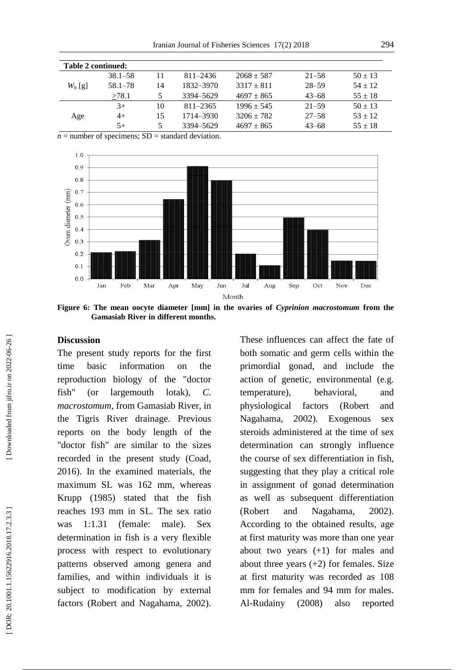| <b>Table 2 continued:</b> |             |    |              |                |           |             |  |  |
|---------------------------|-------------|----|--------------|----------------|-----------|-------------|--|--|
|                           | $38.1 - 58$ |    | $811 - 2436$ | $2068 \pm 587$ | $21 - 58$ | $50 \pm 13$ |  |  |
| $W_b$ [g]                 | $58.1 - 78$ | 14 | 1832–3970    | $3317 + 811$   | $28 - 59$ | $54 + 12$   |  |  |
|                           | >78.1       | 5  | 3394-5629    | $4697 \pm 865$ | $43 - 68$ | $55 \pm 18$ |  |  |
|                           | $3+$        | 10 | $811 - 2365$ | $1996 + 545$   | $21 - 59$ | $50 + 13$   |  |  |
| Age                       | 4+          | 15 | 1714–3930    | $3206 \pm 782$ | $27 - 58$ | $53 + 12$   |  |  |
|                           | $5+$        | 5  | 3394-5629    | $4697 \pm 865$ | $43 - 68$ | $55 \pm 18$ |  |  |

 $n =$  number of specimens;  $SD =$  standard deviation.



**Figure 6 : The mean oocyte diameter [mm] in the ovaries of** *Cyprinion macrostomum* **from the Gamasiab River in different months .**

# **Discussion**

The present study reports for the first time basic information on the reproduction biology of the "doctor fish" (or largemouth lotak), *C . macrostomum*, from Gamasiab River, in the Tigris River drainage. Previous reports on the body length of the "doctor fish" are similar to the sizes recorded in the present study (Coad, 2016). In the examined materials, the maximum SL was 162 mm, whereas Krupp (1985) stated that the fish reaches 193 mm in SL. The sex ratio was 1:1.31 (female: male). Sex determination in fish is a very flexible process with respect to evolutionary patterns observed among genera and families, and within individuals it is subject to modification by external factors (Robert and Nagahama, 2002).

These influences can affect the fate of both somatic and germ cells within the primordial gonad, and include the action of genetic, environmental (e.g. temperature), behavioral, and physiological factors (Robert and Nagahama, 2002). Exogenous sex steroids administered at the time of sex determination can strongly influence the course of sex differentiation in fish, suggesting that they play a critical role in assignment of gonad determination as well as subsequent differentiation (Robert and Nagahama, 2002). According to the obtained results, age at first maturity was more than one year about two years  $(+1)$  for males and about three years  $(+2)$  for females. Size at first maturity was recorded as 108 mm for females and 94 mm for males. Al -Rudainy (2008) also reported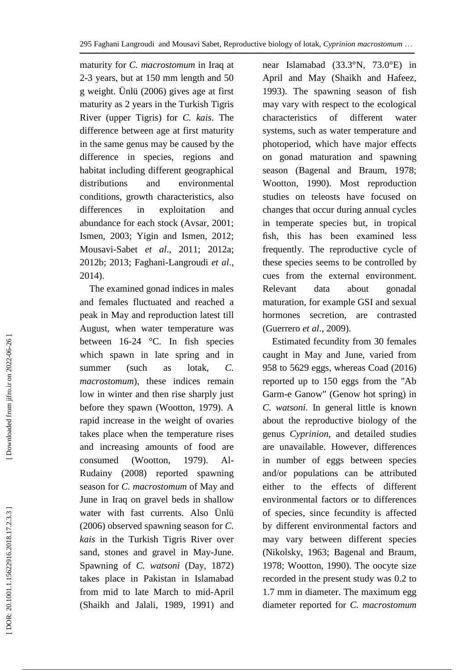maturity for *C. macrostomum* in Iraq at 2-3 years, but at 150 mm length and 50 g weight. Ünlü (2006) gives age at first maturity as 2 years in the Turkish Tigris River (upper Tigris) for *C. kais*. The difference between age at first maturity in the same genus may be caused by the difference in species, regions and habitat including different geographical distributions and environmental conditions, growth characteristics, also differences in exploitation and abundance for each stock (Avsar, 2001; Ismen, 2003; Yigin and Ismen, 2012; Mousavi -Sabet *et al*., 2011; 2012a; 2012b; 2013; Faghani -Langroudi *et al*., 2014).

 The examined gonad indices in males and females fluctuated and reached a peak in May and reproduction latest till August, when water temperature was between 16 -24 °C. In fish species which spawn in late spring and in summer (such as lotak, *C. macrostomum*), these indices remain low in winter and then rise sharply just before they spawn (Wootton, 1979). A rapid increase in the weight of ovaries takes place when the temperature rises and increasing amounts of food are consumed (Wootton, 1979).  $A1-$ Rudainy (2008) reported spawning season for *C. macrostomum* of May and June in Iraq on gravel beds in shallow water with fast currents. Also Ünlü (2006) observed spawning season for *C. kais* in the Turkish Tigris River over sand, stones and gravel in May -June. Spawning of *C. watsoni* (Day, 1872) takes place in Pakistan in Islamabad from mid to late March to mid -April (Shaikh and Jalali, 1989, 1991) and

near Islamabad (33.3°N, 73.0°E) in April and May (Shaikh and Hafeez, 1993). The spawning season of fish may vary with respect to the ecological characteristics of different water systems, such as water temperature and photoperiod, which have major effects on gonad maturation and spawning season (Bagenal and Braum, 1978; Wootton, 1990). Most reproduction studies on teleosts have focused on changes that occur during annual cycles in temperate species but, in tropical fish, this has been examined less frequently. The reproductive cycle of these species seems to be controlled by cues from the external environment. Relevant data about gonadal maturation, for example GSI and sexual hormones secretion, are contrasted (Guerrero *et al*., 2009).

 Estimated fecundity from 30 females caught in May and June, varied from 958 to 5629 eggs, whereas Coad (2016) reported up to 150 eggs from the "Ab Garm -e Ganow" (Genow hot spring) in *C . watsoni*. In general little is known about the reproductive biology of the genus *Cyprinion*, and detailed studies are unavailable. However, differences in number of eggs between species and/or populations can be attributed either to the effects of different environmental factors or to differences of species, since fecundity is affected by different environmental factors and may vary between different species (Nikolsky, 1963; Bagenal and Braum, 1978; Wootton, 1990). The oocyte size recorded in the present study was 0.2 to 1.7 mm in diameter. The maximum egg diameter reported for *C. macrostomum*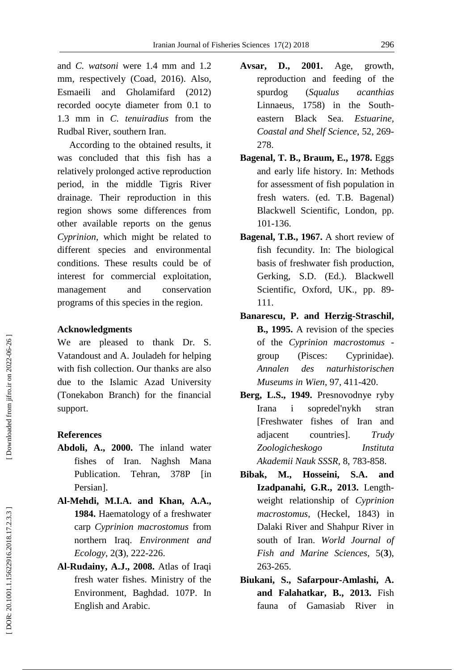and *C. watsoni* were 1.4 mm and 1.2 mm, respectively (Coad, 2016). Also, Esmaeili and Gholamifard (2012) recorded oocyte diameter from 0.1 to 1.3 mm in *C. tenuiradius* from the Rudbal River, southern Iran.

 According to the obtained results, it was concluded that this fish has a relatively prolonged active reproduction period, in the middle Tigris River drainage. Their reproduction in this region shows some differences from other available reports on the genus *Cyprinion*, which might be related to different species and environmental conditions. These results could be of interest for commercial exploitation, management and conservation programs of this species in the region.

## **Acknowledgments**

We are pleased to thank Dr. S. Vatandoust and A. Jouladeh for helping with fish collection. Our thanks are also due to the Islamic Azad University (Tonekabon Branch) for the financial support.

## **References**

- **Abdoli, A., 2000.** The inland water fishes of Iran. Naghsh Mana Publication. Tehran, 378P [in] Persian].
- **Al -Mehdi, M.I.A. and Khan, A.A., 1984.** Haematology of a freshwater carp *Cyprinion macrostomus* from northern Iraq. *Environment and Ecology*, 2( **3**), 222 -226.
- **Al -Rudainy, A.J., 2008.** Atlas of Iraqi fresh water fishes. Ministry of the Environment, Baghdad. 107 P. In English and Arabic.
- **Avsar, D., 2001.** Age, growth, reproduction and feeding of the spurdog (*Squalus acanthias* Linnaeus,  $1758$  in the Southeastern Black Sea. *Estuarine, Coastal and Shelf Science*, 52, 269 - 278.
- **Bagenal, T. B., Braum, E., 1978.** Eggs and early life history. In: Methods for assessment of fish population in fresh waters. (ed. T.B. Bagenal) Blackwell Scientific, London, pp. 101 -136.
- **Bagenal, T.B., 1967.** A short review of fish fecundity. In: The biological basis of freshwater fish production, Gerking, S.D. (Ed.). Blackwell Scientific, Oxford, UK., pp. 89-111.
- **Banarescu, P. and Herzig -Straschil, B., 1995.** A revision of the species of the *Cyprinion macrostomus*  group (Pisces: Cyprinidae). *Annalen des naturhistorischen Museums in Wien*, 97, 411 -420.
- **Berg, L.S., 1949.** Presnovodnye ryby Irana i sopredel'nykh stran [Freshwater fishes of Iran and adjacent countries]. *Trudy Zoologicheskogo Instituta Akademii Nauk SSSR*, 8, 783 -858.
- **Bibak, M., Hosseini, S.A. and Izadpanahi, G.R., 2013.** Length weight relationship of *Cyprinion macrostomus*, (Heckel, 1843) in Dalaki River and Shahpur River in south of Iran. *World Journal of Fish and Marine Sciences*, 5( **3**), 263 -265.
- **Biukani, S., Safarpour -Amlashi, A. and Falahatkar, B., 2013.** Fish fauna of Gamasiab River in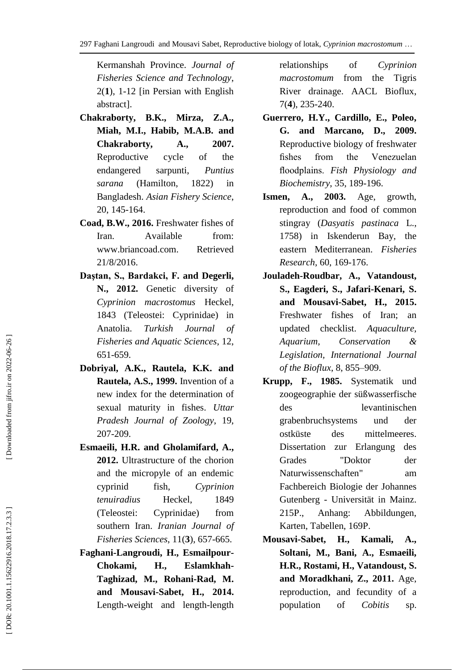Kermanshah Province. *Journal of Fisheries Science and Technology*, 2( **1**), 1 -12 [in Persian with English abstract].

- **Chakraborty, B.K., Mirza, Z.A., Miah, M.I., Habib, M.A.B. and Chakraborty, A., 2007.** Reproductive cycle of the endangered sarpunti, *Puntius sarana* (Hamilton, 1822) in Bangladesh. *Asian Fishery Science*, 20, 145 -164.
- **Coad, B.W., 2016.** Freshwater fishes of Iran. Available from: www.briancoad.com. Retrieved 21/8/2016.
- **Daştan, S., Bardakci, F. and Degerli, N., 2012.** Genetic diversity of *Cyprinion macrostomus* Heckel, 1843 (Teleostei: Cyprinidae) in Anatolia. *Turkish Journal of Fisheries and Aquatic Sciences*, 12, 651 -659.
- **Dobriyal, A.K., Rautela, K.K. and Rautela, A.S., 1999.** Invention of a new index for the determination of sexual maturity in fishes. *Uttar Pradesh Journal of Zoology*, 19, 207 -209.
- **Esmaeili, H.R. and Gholamifard, A., 2012.** Ultrastructure of the chorion and the micropyle of an endemic cyprinid fish, *Cyprinion tenuiradius* Heckel, 1849 (Teleostei: Cyprinidae) from southern Iran. *Iranian Journal of Fisheries Sciences*, 11( **3**), 657 -665.
- **Faghani -Langroudi, H., Esmailpour - Chokami, H., Eslamkhah - Taghizad, M., Rohani -Rad, M. and Mousavi -Sabet, H., 2014.** Length-weight and length-length

relationships of *Cyprinion macrostomum* from the Tigris River drainage. AACL Bioflux, 7( **4**), 235 -240.

- **Guerrero, H.Y., Cardillo, E., Poleo, G. and Marcano, D., 2009.**  Reproductive biology of freshwater fishes from the Venezuelan floodplains. *Fish Physiology and Biochemistry*, 35, 189 -196.
- **Ismen, A., 2003.** Age, growth, reproduction and food of common stingray (*Dasyatis pastinaca* L., 1758) in Iskenderun Bay, the eastern Mediterranean. *Fisheries Research*, 60, 169 -176.
- **Jouladeh -Roudbar, A., Vatandoust, S., Eagderi, S., Jafari -Kenari, S. and Mousavi -Sabet, H., 2015.** Freshwater fishes of Iran; an updated checklist. *Aquaculture, Aquarium, Conservation & Legislation, International Journal of the Bioflux*, 8, 855 –909.
- **Krupp, F., 1985.** Systematik und zoogeographie der süßwasserfische des levantinischen grabenbruchsystems und der ostküste des mittelmeeres. Dissertation zur Erlangung des Grades "Doktor der Naturwissenschaften" am Fachbereich Biologie der Johannes Gutenberg - Universität in Mainz. 215P., Anhang: Abbildungen, Karten, Tabellen, 169 P .
- **Mousavi H., Kamali, A., Soltani, M., Bani, A., Esmaeili, H.R., Rostami, H., Vatandoust, S. and Moradkhani, Z., 2011.** Age, reproduction, and fecundity of a population of *Cobitis* sp.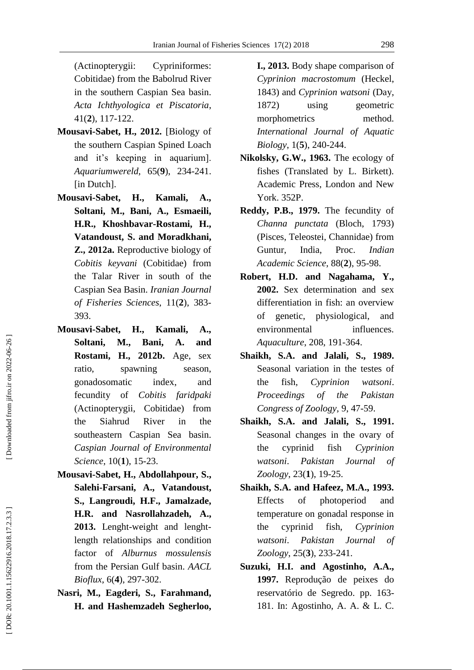(Actinopterygii: Cypriniformes: Cobitidae) from the Babolrud River in the southern Caspian Sea basin. *Acta Ichthyologica et Piscatoria*, 41( **2**), 117 -122.

- **Mousavi -Sabet, H., 2012.** [Biology of the southern Caspian Spined Loach and it's keeping in aquarium]. *Aquariumwereld*, 65( **9**), 234 -241. [in Dutch].
- **Mousavi H., Kamali, A., Soltani, M., Bani, A., Esmaeili, H.R., Khoshbavar -Rostami, H., Vatandoust, S. and Moradkhani, Z., 2012a.** Reproductive biology of *Cobitis keyvani* (Cobitidae) from the Talar River in south of the Caspian Sea Basin. *Iranian Journal of Fisheries Sciences*, 11( **2**), 383 - 393.
- **Mousavi H., Kamali, A., Soltani, M., Bani, A. and Rostami, H., 2012b.** Age, sex ratio, spawning season, gonadosomatic index, and fecundity of *Cobitis faridpaki* (Actinopterygii, Cobitidae) from the Siahrud River in the southeastern Caspian Sea basin. *Caspian Journal of Environmental Science*, 10( **1**), 15 -23.
- **Mousavi -Sabet, H., Abdollahpour, S., Salehi -Farsani, A., Vatandoust, S., Langroudi, H.F., Jamalzade, H.R. and Nasrollahzadeh, A.,**  2013. Lenght-weight and lenghtlength relationships and condition factor of *Alburnus mossulensis* from the Persian Gulf basin. *AACL Bioflux*, 6( **4**), 297 -302.
- **Nasri, M., Eagderi, S., Farahmand, H. and Hashemzadeh Segherloo,**

**I., 2013.** Body shape comparison of *Cyprinion macrostomum* (Heckel, 1843) and *Cyprinion watsoni* (Day, 1872) using geometric morphometrics method. *International Journal of Aquatic Biology*, 1( **5**), 240 -244.

- **Nikolsky, G.W., 1963.** The ecology of fishes (Translated by L. Birkett). Academic Press, London and New York. 352P.
- **Reddy, P.B., 1979.** The fecundity of *Channa punctata* (Bloch, 1793) (Pisces, Teleostei, Channidae) from Guntur, India, Proc. *Indian Academic Science*, 88( **2**), 95 -98.
- **Robert, H.D. and Nagahama, Y., 2002.** Sex determination and sex differentiation in fish: an overview of genetic, physiological, and environmental influences. *Aquaculture*, 208, 191 -364.
- **Shaikh, S.A. and Jalali, S., 1989.** Seasonal variation in the testes of the fish, *Cyprinion watsoni*. *Proceedings of the Pakistan Congress of Zoology*, 9, 47 -59.
- **Shaikh, S.A. and Jalali, S., 1991.** Seasonal changes in the ovary of the cyprinid fish *Cyprinion watsoni*. *Pakistan Journal of Zoology*, 23( **1**), 19 -25.
- **Shaikh, S.A. and Hafeez, M.A., 1993.** Effects of photoperiod and temperature on gonadal response in the cyprinid fish, *Cyprinion watsoni*. *Pakistan Journal of Zoology*, 25( **3**), 233 -241.
- **Suzuki, H.I. and Agostinho, A.A., 1997.** Reprodução de peixes do reservatório de Segredo. pp. 163 - 181. In: Agostinho, A. A. & L. C.